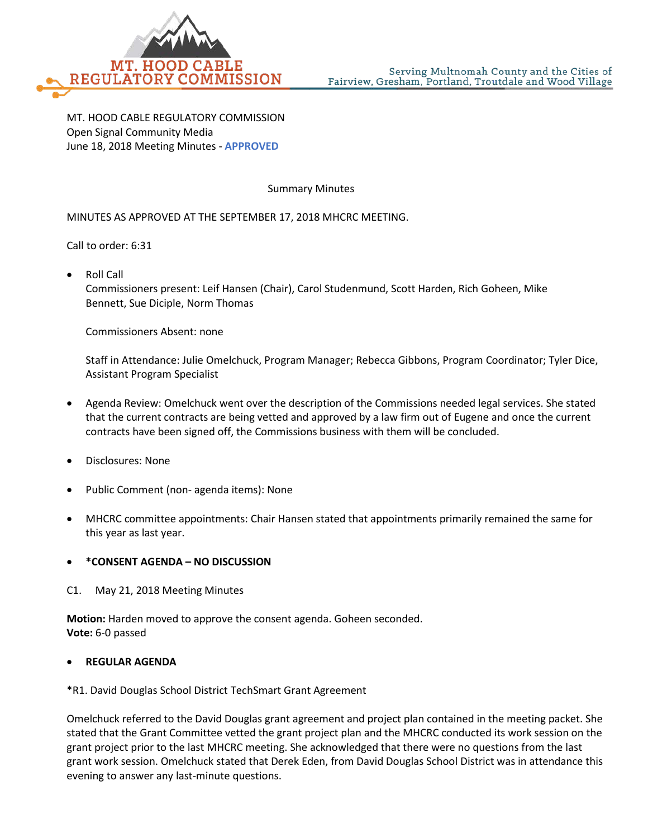

MT. HOOD CABLE REGULATORY COMMISSION Open Signal Community Media June 18, 2018 Meeting Minutes - **APPROVED**

#### Summary Minutes

### MINUTES AS APPROVED AT THE SEPTEMBER 17, 2018 MHCRC MEETING.

Call to order: 6:31

• Roll Call

Commissioners present: Leif Hansen (Chair), Carol Studenmund, Scott Harden, Rich Goheen, Mike Bennett, Sue Diciple, Norm Thomas

Commissioners Absent: none

Staff in Attendance: Julie Omelchuck, Program Manager; Rebecca Gibbons, Program Coordinator; Tyler Dice, Assistant Program Specialist

- Agenda Review: Omelchuck went over the description of the Commissions needed legal services. She stated that the current contracts are being vetted and approved by a law firm out of Eugene and once the current contracts have been signed off, the Commissions business with them will be concluded.
- Disclosures: None
- Public Comment (non- agenda items): None
- MHCRC committee appointments: Chair Hansen stated that appointments primarily remained the same for this year as last year.

#### • **\*CONSENT AGENDA – NO DISCUSSION**

C1. May 21, 2018 Meeting Minutes

**Motion:** Harden moved to approve the consent agenda. Goheen seconded. **Vote:** 6-0 passed

#### • **REGULAR AGENDA**

\*R1. David Douglas School District TechSmart Grant Agreement

Omelchuck referred to the David Douglas grant agreement and project plan contained in the meeting packet. She stated that the Grant Committee vetted the grant project plan and the MHCRC conducted its work session on the grant project prior to the last MHCRC meeting. She acknowledged that there were no questions from the last grant work session. Omelchuck stated that Derek Eden, from David Douglas School District was in attendance this evening to answer any last-minute questions.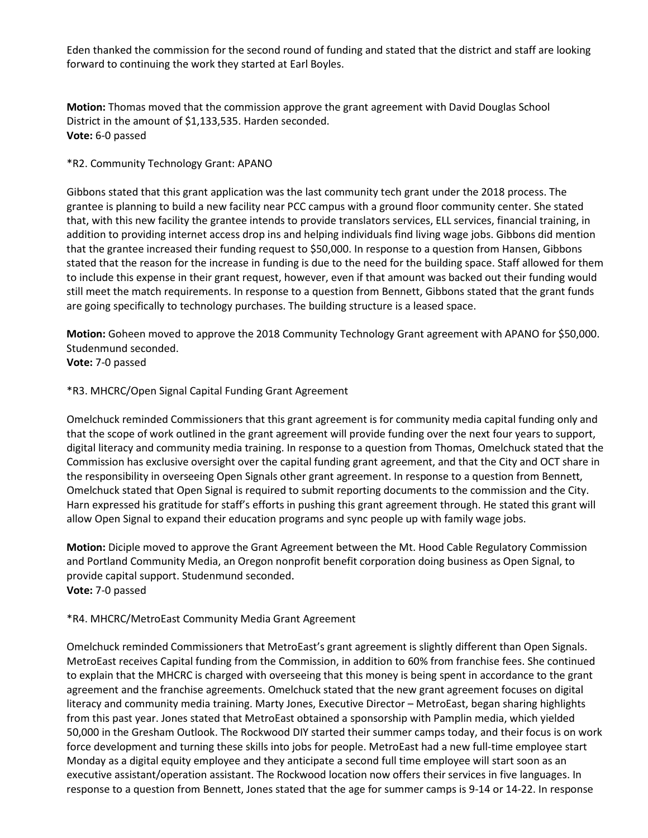Eden thanked the commission for the second round of funding and stated that the district and staff are looking forward to continuing the work they started at Earl Boyles.

**Motion:** Thomas moved that the commission approve the grant agreement with David Douglas School District in the amount of \$1,133,535. Harden seconded. **Vote:** 6-0 passed

\*R2. Community Technology Grant: APANO

Gibbons stated that this grant application was the last community tech grant under the 2018 process. The grantee is planning to build a new facility near PCC campus with a ground floor community center. She stated that, with this new facility the grantee intends to provide translators services, ELL services, financial training, in addition to providing internet access drop ins and helping individuals find living wage jobs. Gibbons did mention that the grantee increased their funding request to \$50,000. In response to a question from Hansen, Gibbons stated that the reason for the increase in funding is due to the need for the building space. Staff allowed for them to include this expense in their grant request, however, even if that amount was backed out their funding would still meet the match requirements. In response to a question from Bennett, Gibbons stated that the grant funds are going specifically to technology purchases. The building structure is a leased space.

**Motion:** Goheen moved to approve the 2018 Community Technology Grant agreement with APANO for \$50,000. Studenmund seconded.

**Vote:** 7-0 passed

### \*R3. MHCRC/Open Signal Capital Funding Grant Agreement

Omelchuck reminded Commissioners that this grant agreement is for community media capital funding only and that the scope of work outlined in the grant agreement will provide funding over the next four years to support, digital literacy and community media training. In response to a question from Thomas, Omelchuck stated that the Commission has exclusive oversight over the capital funding grant agreement, and that the City and OCT share in the responsibility in overseeing Open Signals other grant agreement. In response to a question from Bennett, Omelchuck stated that Open Signal is required to submit reporting documents to the commission and the City. Harn expressed his gratitude for staff's efforts in pushing this grant agreement through. He stated this grant will allow Open Signal to expand their education programs and sync people up with family wage jobs.

**Motion:** Diciple moved to approve the Grant Agreement between the Mt. Hood Cable Regulatory Commission and Portland Community Media, an Oregon nonprofit benefit corporation doing business as Open Signal, to provide capital support. Studenmund seconded. **Vote:** 7-0 passed

### \*R4. MHCRC/MetroEast Community Media Grant Agreement

Omelchuck reminded Commissioners that MetroEast's grant agreement is slightly different than Open Signals. MetroEast receives Capital funding from the Commission, in addition to 60% from franchise fees. She continued to explain that the MHCRC is charged with overseeing that this money is being spent in accordance to the grant agreement and the franchise agreements. Omelchuck stated that the new grant agreement focuses on digital literacy and community media training. Marty Jones, Executive Director – MetroEast, began sharing highlights from this past year. Jones stated that MetroEast obtained a sponsorship with Pamplin media, which yielded 50,000 in the Gresham Outlook. The Rockwood DIY started their summer camps today, and their focus is on work force development and turning these skills into jobs for people. MetroEast had a new full-time employee start Monday as a digital equity employee and they anticipate a second full time employee will start soon as an executive assistant/operation assistant. The Rockwood location now offers their services in five languages. In response to a question from Bennett, Jones stated that the age for summer camps is 9-14 or 14-22. In response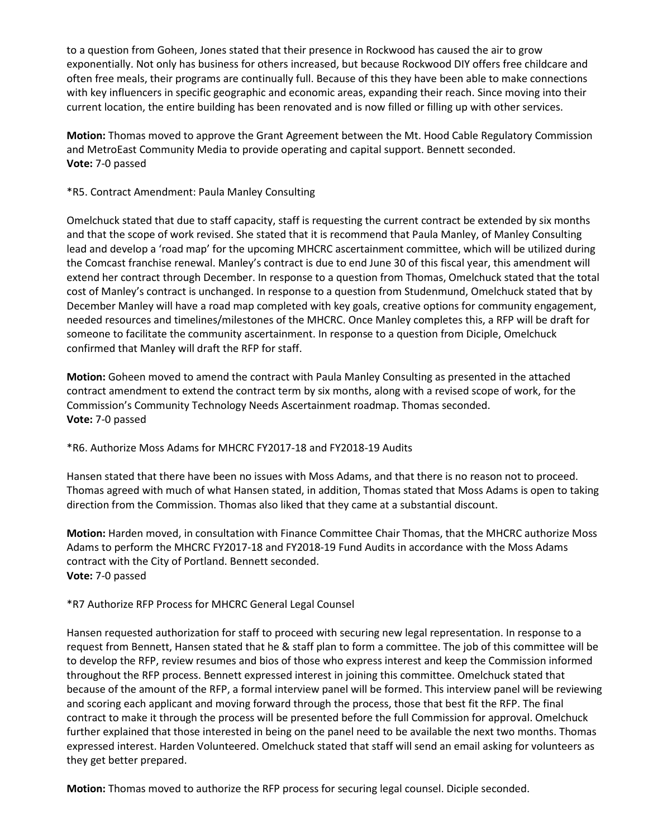to a question from Goheen, Jones stated that their presence in Rockwood has caused the air to grow exponentially. Not only has business for others increased, but because Rockwood DIY offers free childcare and often free meals, their programs are continually full. Because of this they have been able to make connections with key influencers in specific geographic and economic areas, expanding their reach. Since moving into their current location, the entire building has been renovated and is now filled or filling up with other services.

**Motion:** Thomas moved to approve the Grant Agreement between the Mt. Hood Cable Regulatory Commission and MetroEast Community Media to provide operating and capital support. Bennett seconded. **Vote:** 7-0 passed

## \*R5. Contract Amendment: Paula Manley Consulting

Omelchuck stated that due to staff capacity, staff is requesting the current contract be extended by six months and that the scope of work revised. She stated that it is recommend that Paula Manley, of Manley Consulting lead and develop a 'road map' for the upcoming MHCRC ascertainment committee, which will be utilized during the Comcast franchise renewal. Manley's contract is due to end June 30 of this fiscal year, this amendment will extend her contract through December. In response to a question from Thomas, Omelchuck stated that the total cost of Manley's contract is unchanged. In response to a question from Studenmund, Omelchuck stated that by December Manley will have a road map completed with key goals, creative options for community engagement, needed resources and timelines/milestones of the MHCRC. Once Manley completes this, a RFP will be draft for someone to facilitate the community ascertainment. In response to a question from Diciple, Omelchuck confirmed that Manley will draft the RFP for staff.

**Motion:** Goheen moved to amend the contract with Paula Manley Consulting as presented in the attached contract amendment to extend the contract term by six months, along with a revised scope of work, for the Commission's Community Technology Needs Ascertainment roadmap. Thomas seconded. **Vote:** 7-0 passed

\*R6. Authorize Moss Adams for MHCRC FY2017-18 and FY2018-19 Audits

Hansen stated that there have been no issues with Moss Adams, and that there is no reason not to proceed. Thomas agreed with much of what Hansen stated, in addition, Thomas stated that Moss Adams is open to taking direction from the Commission. Thomas also liked that they came at a substantial discount.

**Motion:** Harden moved, in consultation with Finance Committee Chair Thomas, that the MHCRC authorize Moss Adams to perform the MHCRC FY2017-18 and FY2018-19 Fund Audits in accordance with the Moss Adams contract with the City of Portland. Bennett seconded. **Vote:** 7-0 passed

\*R7 Authorize RFP Process for MHCRC General Legal Counsel

Hansen requested authorization for staff to proceed with securing new legal representation. In response to a request from Bennett, Hansen stated that he & staff plan to form a committee. The job of this committee will be to develop the RFP, review resumes and bios of those who express interest and keep the Commission informed throughout the RFP process. Bennett expressed interest in joining this committee. Omelchuck stated that because of the amount of the RFP, a formal interview panel will be formed. This interview panel will be reviewing and scoring each applicant and moving forward through the process, those that best fit the RFP. The final contract to make it through the process will be presented before the full Commission for approval. Omelchuck further explained that those interested in being on the panel need to be available the next two months. Thomas expressed interest. Harden Volunteered. Omelchuck stated that staff will send an email asking for volunteers as they get better prepared.

**Motion:** Thomas moved to authorize the RFP process for securing legal counsel. Diciple seconded.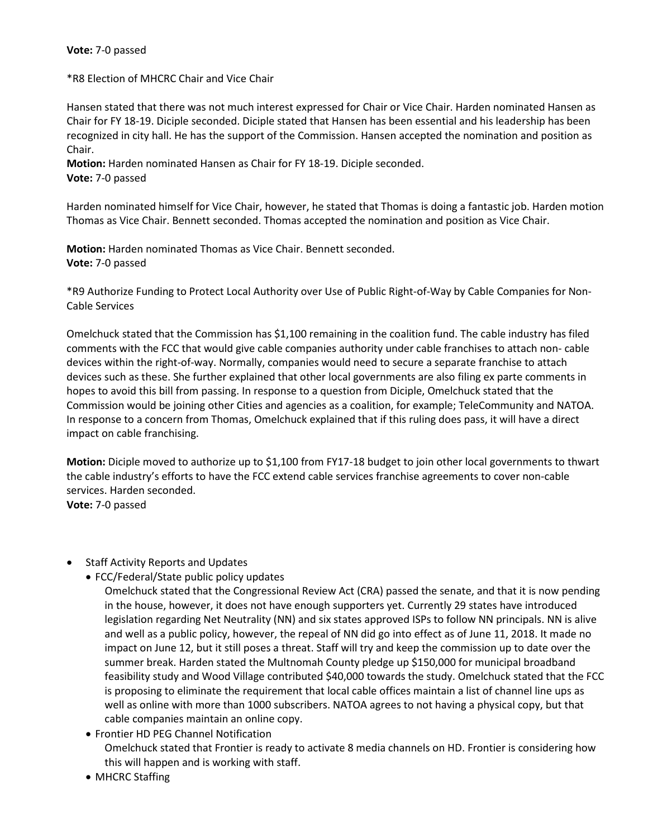### **Vote:** 7-0 passed

\*R8 Election of MHCRC Chair and Vice Chair

Hansen stated that there was not much interest expressed for Chair or Vice Chair. Harden nominated Hansen as Chair for FY 18-19. Diciple seconded. Diciple stated that Hansen has been essential and his leadership has been recognized in city hall. He has the support of the Commission. Hansen accepted the nomination and position as Chair.

**Motion:** Harden nominated Hansen as Chair for FY 18-19. Diciple seconded. **Vote:** 7-0 passed

Harden nominated himself for Vice Chair, however, he stated that Thomas is doing a fantastic job. Harden motion Thomas as Vice Chair. Bennett seconded. Thomas accepted the nomination and position as Vice Chair.

**Motion:** Harden nominated Thomas as Vice Chair. Bennett seconded. **Vote:** 7-0 passed

\*R9 Authorize Funding to Protect Local Authority over Use of Public Right-of-Way by Cable Companies for Non-Cable Services

Omelchuck stated that the Commission has \$1,100 remaining in the coalition fund. The cable industry has filed comments with the FCC that would give cable companies authority under cable franchises to attach non- cable devices within the right-of-way. Normally, companies would need to secure a separate franchise to attach devices such as these. She further explained that other local governments are also filing ex parte comments in hopes to avoid this bill from passing. In response to a question from Diciple, Omelchuck stated that the Commission would be joining other Cities and agencies as a coalition, for example; TeleCommunity and NATOA. In response to a concern from Thomas, Omelchuck explained that if this ruling does pass, it will have a direct impact on cable franchising.

**Motion:** Diciple moved to authorize up to \$1,100 from FY17-18 budget to join other local governments to thwart the cable industry's efforts to have the FCC extend cable services franchise agreements to cover non-cable services. Harden seconded.

**Vote:** 7-0 passed

### • Staff Activity Reports and Updates

- FCC/Federal/State public policy updates
	- Omelchuck stated that the Congressional Review Act (CRA) passed the senate, and that it is now pending in the house, however, it does not have enough supporters yet. Currently 29 states have introduced legislation regarding Net Neutrality (NN) and six states approved ISPs to follow NN principals. NN is alive and well as a public policy, however, the repeal of NN did go into effect as of June 11, 2018. It made no impact on June 12, but it still poses a threat. Staff will try and keep the commission up to date over the summer break. Harden stated the Multnomah County pledge up \$150,000 for municipal broadband feasibility study and Wood Village contributed \$40,000 towards the study. Omelchuck stated that the FCC is proposing to eliminate the requirement that local cable offices maintain a list of channel line ups as well as online with more than 1000 subscribers. NATOA agrees to not having a physical copy, but that cable companies maintain an online copy.
- Frontier HD PEG Channel Notification Omelchuck stated that Frontier is ready to activate 8 media channels on HD. Frontier is considering how this will happen and is working with staff.
- MHCRC Staffing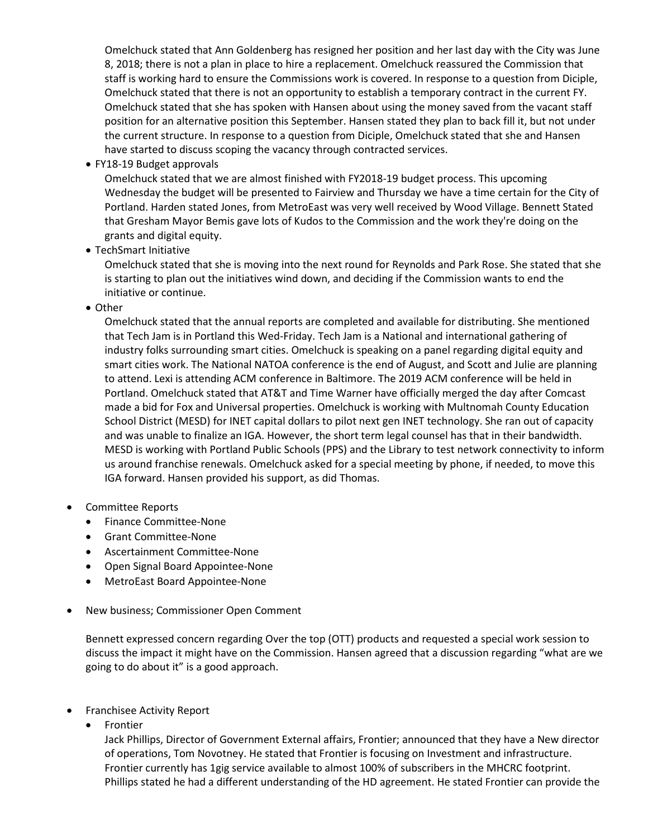Omelchuck stated that Ann Goldenberg has resigned her position and her last day with the City was June 8, 2018; there is not a plan in place to hire a replacement. Omelchuck reassured the Commission that staff is working hard to ensure the Commissions work is covered. In response to a question from Diciple, Omelchuck stated that there is not an opportunity to establish a temporary contract in the current FY. Omelchuck stated that she has spoken with Hansen about using the money saved from the vacant staff position for an alternative position this September. Hansen stated they plan to back fill it, but not under the current structure. In response to a question from Diciple, Omelchuck stated that she and Hansen have started to discuss scoping the vacancy through contracted services.

• FY18-19 Budget approvals

Omelchuck stated that we are almost finished with FY2018-19 budget process. This upcoming Wednesday the budget will be presented to Fairview and Thursday we have a time certain for the City of Portland. Harden stated Jones, from MetroEast was very well received by Wood Village. Bennett Stated that Gresham Mayor Bemis gave lots of Kudos to the Commission and the work they're doing on the grants and digital equity.

• TechSmart Initiative

Omelchuck stated that she is moving into the next round for Reynolds and Park Rose. She stated that she is starting to plan out the initiatives wind down, and deciding if the Commission wants to end the initiative or continue.

• Other

Omelchuck stated that the annual reports are completed and available for distributing. She mentioned that Tech Jam is in Portland this Wed-Friday. Tech Jam is a National and international gathering of industry folks surrounding smart cities. Omelchuck is speaking on a panel regarding digital equity and smart cities work. The National NATOA conference is the end of August, and Scott and Julie are planning to attend. Lexi is attending ACM conference in Baltimore. The 2019 ACM conference will be held in Portland. Omelchuck stated that AT&T and Time Warner have officially merged the day after Comcast made a bid for Fox and Universal properties. Omelchuck is working with Multnomah County Education School District (MESD) for INET capital dollars to pilot next gen INET technology. She ran out of capacity and was unable to finalize an IGA. However, the short term legal counsel has that in their bandwidth. MESD is working with Portland Public Schools (PPS) and the Library to test network connectivity to inform us around franchise renewals. Omelchuck asked for a special meeting by phone, if needed, to move this IGA forward. Hansen provided his support, as did Thomas.

# • Committee Reports

- Finance Committee-None
- Grant Committee-None
- Ascertainment Committee-None
- Open Signal Board Appointee-None
- MetroEast Board Appointee-None
- New business; Commissioner Open Comment

Bennett expressed concern regarding Over the top (OTT) products and requested a special work session to discuss the impact it might have on the Commission. Hansen agreed that a discussion regarding "what are we going to do about it" is a good approach.

- Franchisee Activity Report
	- **Frontier**

Jack Phillips, Director of Government External affairs, Frontier; announced that they have a New director of operations, Tom Novotney. He stated that Frontier is focusing on Investment and infrastructure. Frontier currently has 1gig service available to almost 100% of subscribers in the MHCRC footprint. Phillips stated he had a different understanding of the HD agreement. He stated Frontier can provide the